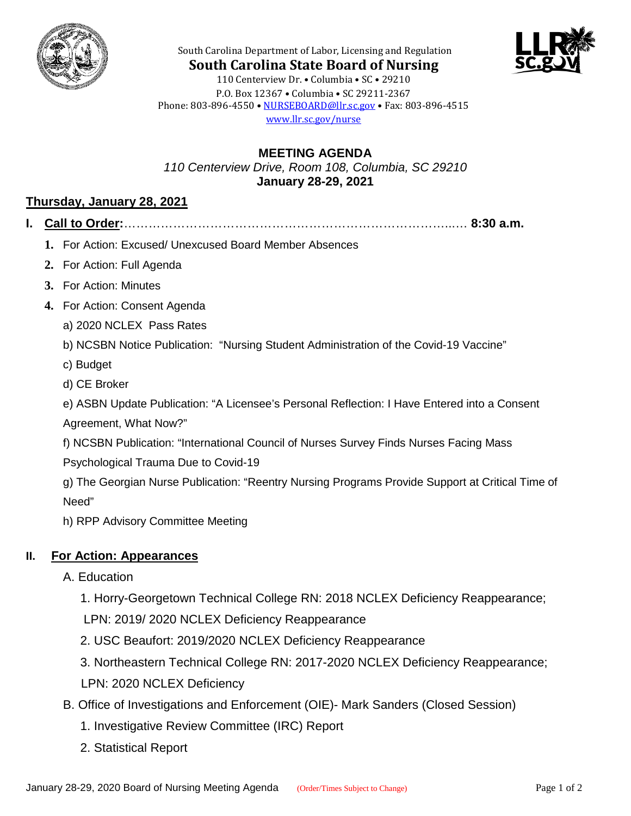



**South Carolina State Board of Nursing** 110 Centerview Dr. • Columbia • SC • 29210 P.O. Box 12367 • Columbia • SC 29211-2367 Phone: 803-896-4550 • [NURSEBOARD@llr.sc.gov](mailto:contactllr@llr.sc.gov) • Fax: 803-896-4515 [www.llr.sc.gov/nurse](http://www.llr.sc.gov/nurse)

South Carolina Department of Labor, Licensing and Regulation

# **MEETING AGENDA** *110 Centerview Drive, Room 108, Columbia, SC 29210* **January 28-29, 2021**

# **Thursday, January 28, 2021**

- **I. Call to Order:**……………………………………………………………………...… **8:30 a.m.**
	- **1.** For Action: Excused/ Unexcused Board Member Absences
	- **2.** For Action: Full Agenda
	- **3.** For Action: Minutes
	- **4.** For Action: Consent Agenda
		- a) 2020 NCLEX Pass Rates
		- b) NCSBN Notice Publication: "Nursing Student Administration of the Covid-19 Vaccine"
		- c) Budget
		- d) CE Broker
		- e) ASBN Update Publication: "A Licensee's Personal Reflection: I Have Entered into a Consent
		- Agreement, What Now?"
		- f) NCSBN Publication: "International Council of Nurses Survey Finds Nurses Facing Mass
		- Psychological Trauma Due to Covid-19
		- g) The Georgian Nurse Publication: "Reentry Nursing Programs Provide Support at Critical Time of Need"
		- h) RPP Advisory Committee Meeting

# **II. For Action: Appearances**

- A. Education
	- 1. Horry-Georgetown Technical College RN: 2018 NCLEX Deficiency Reappearance;
	- LPN: 2019/ 2020 NCLEX Deficiency Reappearance
	- 2. USC Beaufort: 2019/2020 NCLEX Deficiency Reappearance
	- 3. Northeastern Technical College RN: 2017-2020 NCLEX Deficiency Reappearance; LPN: 2020 NCLEX Deficiency
- B. Office of Investigations and Enforcement (OIE)- Mark Sanders (Closed Session)
	- 1. Investigative Review Committee (IRC) Report
	- 2. Statistical Report